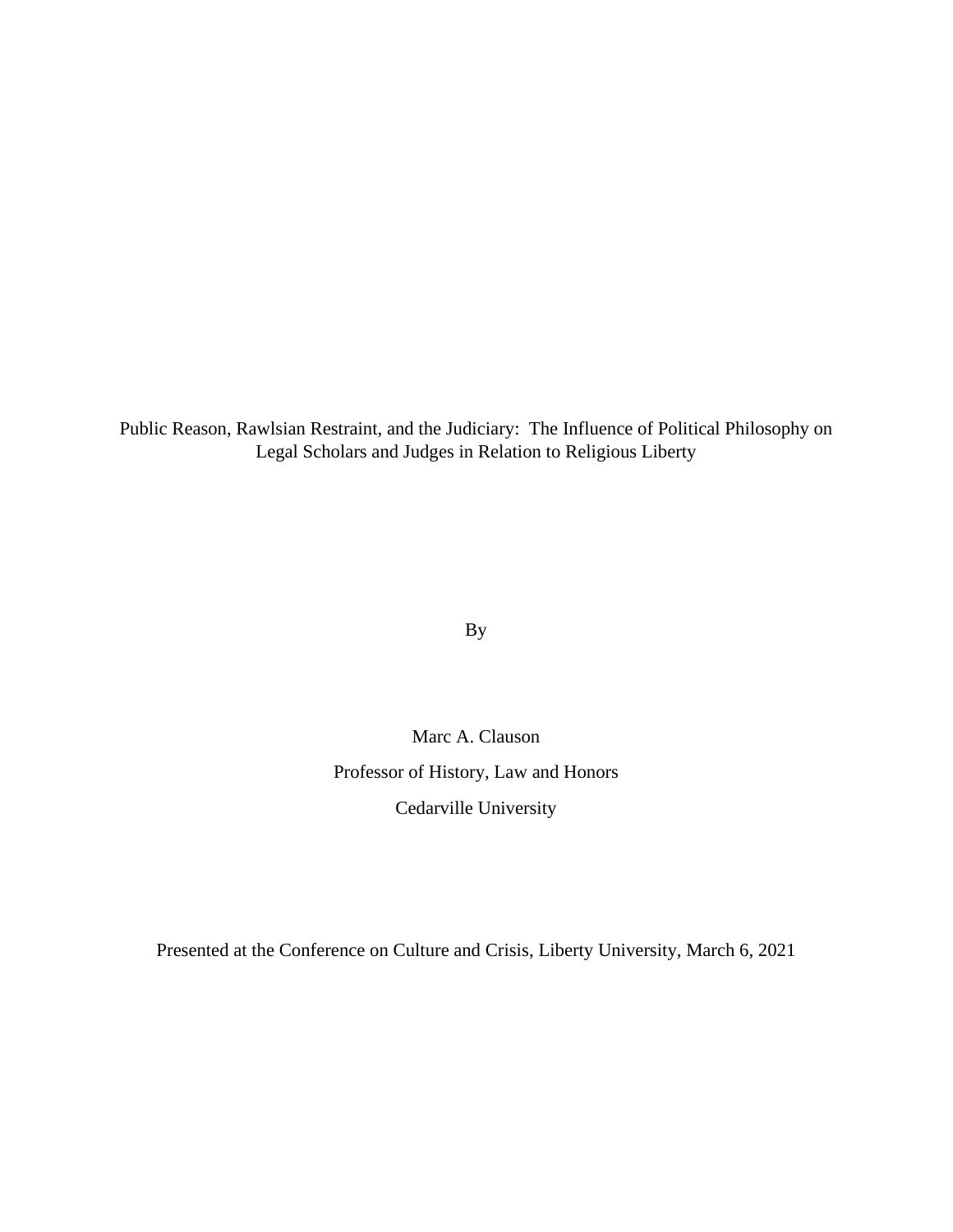Public Reason, Rawlsian Restraint, and the Judiciary: The Influence of Political Philosophy on Legal Scholars and Judges in Relation to Religious Liberty

By

Marc A. Clauson Professor of History, Law and Honors Cedarville University

Presented at the Conference on Culture and Crisis, Liberty University, March 6, 2021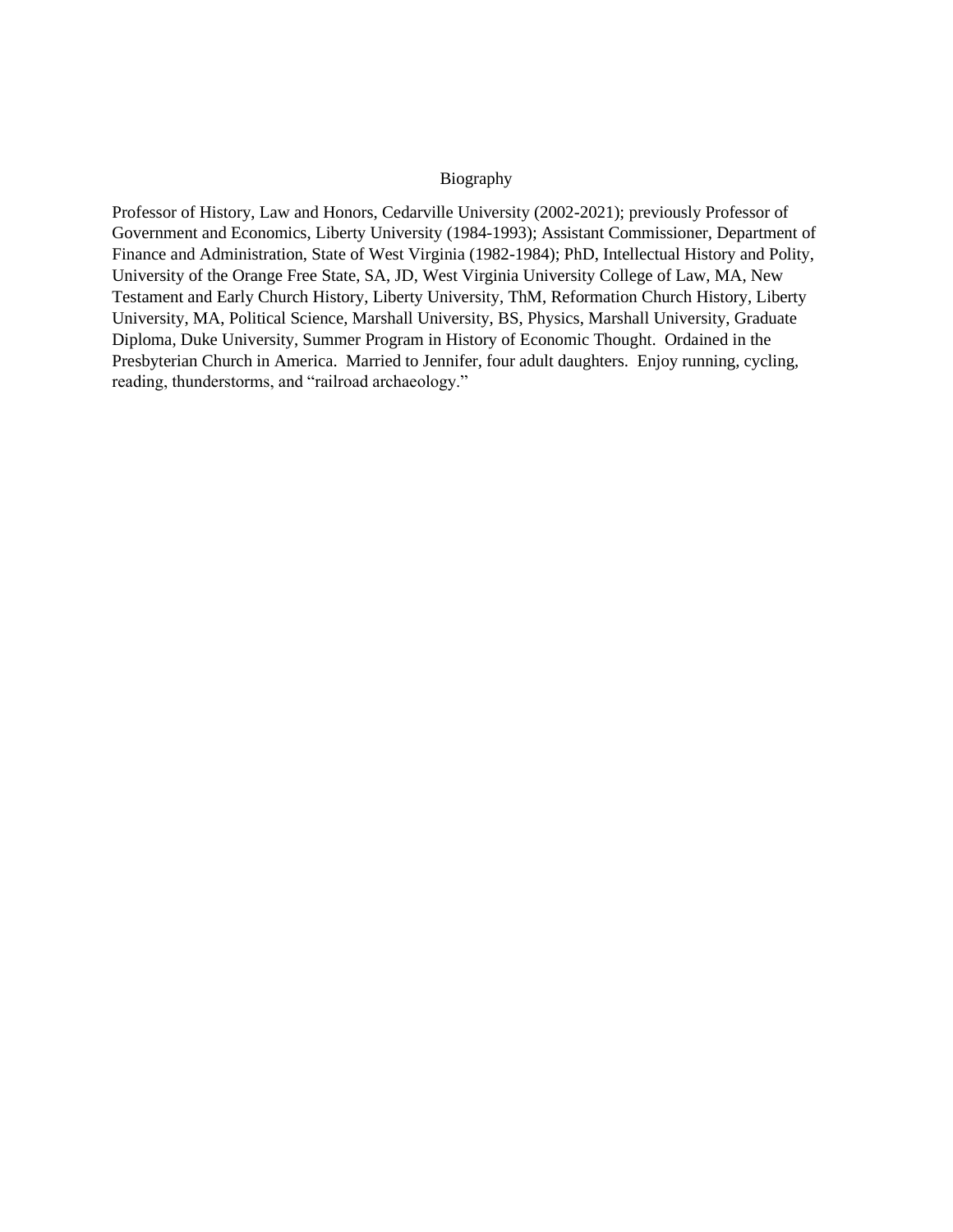## Biography

Professor of History, Law and Honors, Cedarville University (2002-2021); previously Professor of Government and Economics, Liberty University (1984-1993); Assistant Commissioner, Department of Finance and Administration, State of West Virginia (1982-1984); PhD, Intellectual History and Polity, University of the Orange Free State, SA, JD, West Virginia University College of Law, MA, New Testament and Early Church History, Liberty University, ThM, Reformation Church History, Liberty University, MA, Political Science, Marshall University, BS, Physics, Marshall University, Graduate Diploma, Duke University, Summer Program in History of Economic Thought. Ordained in the Presbyterian Church in America. Married to Jennifer, four adult daughters. Enjoy running, cycling, reading, thunderstorms, and "railroad archaeology."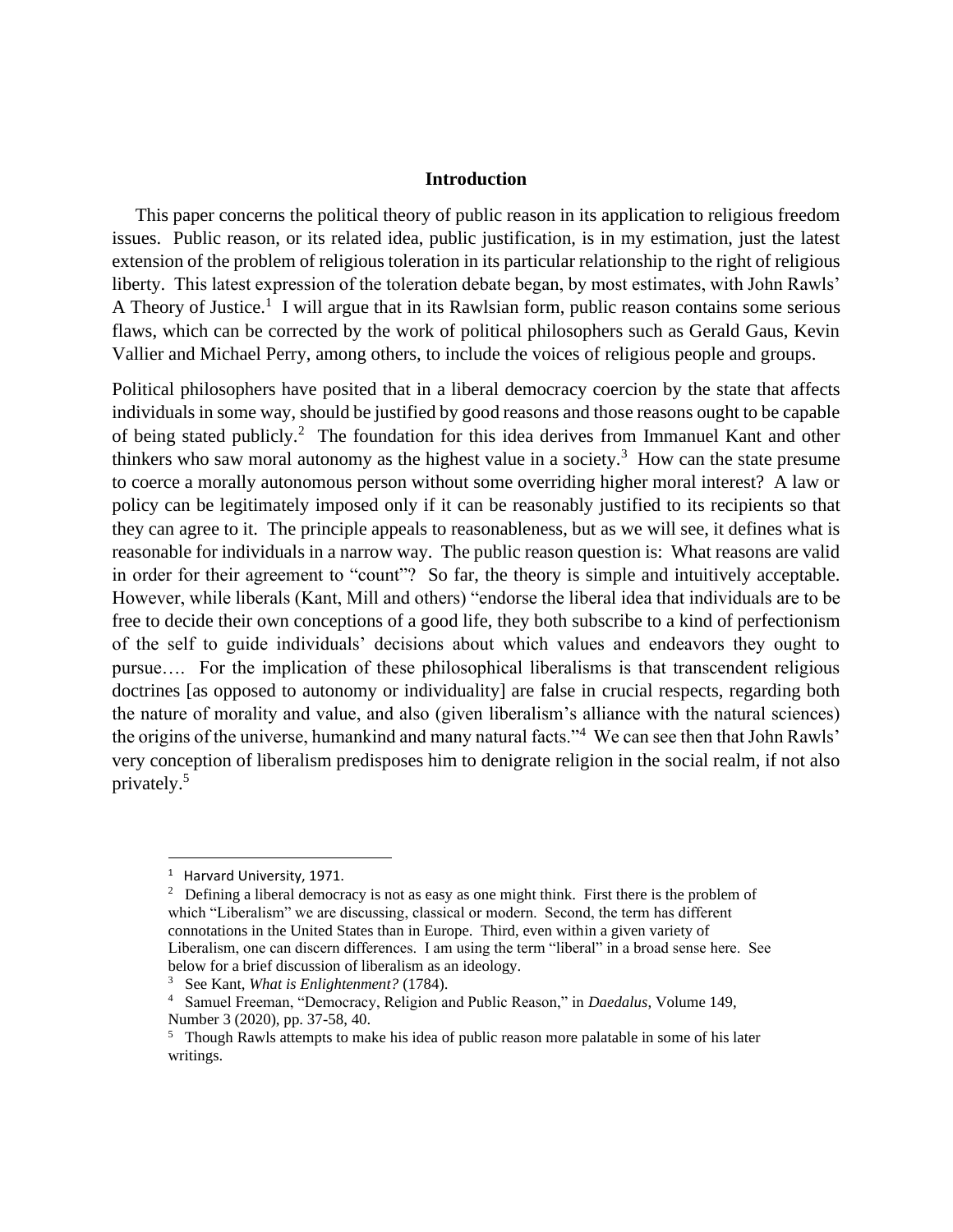## **Introduction**

 This paper concerns the political theory of public reason in its application to religious freedom issues. Public reason, or its related idea, public justification, is in my estimation, just the latest extension of the problem of religious toleration in its particular relationship to the right of religious liberty. This latest expression of the toleration debate began, by most estimates, with John Rawls' A Theory of Justice.<sup>1</sup> I will argue that in its Rawlsian form, public reason contains some serious flaws, which can be corrected by the work of political philosophers such as Gerald Gaus, Kevin Vallier and Michael Perry, among others, to include the voices of religious people and groups.

Political philosophers have posited that in a liberal democracy coercion by the state that affects individuals in some way, should be justified by good reasons and those reasons ought to be capable of being stated publicly.<sup>2</sup> The foundation for this idea derives from Immanuel Kant and other thinkers who saw moral autonomy as the highest value in a society.<sup>3</sup> How can the state presume to coerce a morally autonomous person without some overriding higher moral interest? A law or policy can be legitimately imposed only if it can be reasonably justified to its recipients so that they can agree to it. The principle appeals to reasonableness, but as we will see, it defines what is reasonable for individuals in a narrow way. The public reason question is: What reasons are valid in order for their agreement to "count"? So far, the theory is simple and intuitively acceptable. However, while liberals (Kant, Mill and others) "endorse the liberal idea that individuals are to be free to decide their own conceptions of a good life, they both subscribe to a kind of perfectionism of the self to guide individuals' decisions about which values and endeavors they ought to pursue…. For the implication of these philosophical liberalisms is that transcendent religious doctrines [as opposed to autonomy or individuality] are false in crucial respects, regarding both the nature of morality and value, and also (given liberalism's alliance with the natural sciences) the origins of the universe, humankind and many natural facts."<sup>4</sup> We can see then that John Rawls' very conception of liberalism predisposes him to denigrate religion in the social realm, if not also privately.<sup>5</sup>

 $2^2$  Defining a liberal democracy is not as easy as one might think. First there is the problem of which "Liberalism" we are discussing, classical or modern. Second, the term has different connotations in the United States than in Europe. Third, even within a given variety of Liberalism, one can discern differences. I am using the term "liberal" in a broad sense here. See below for a brief discussion of liberalism as an ideology.

<sup>&</sup>lt;sup>1</sup> Harvard University, 1971.

<sup>3</sup> See Kant, *What is Enlightenment?* (1784).

<sup>4</sup> Samuel Freeman, "Democracy, Religion and Public Reason," in *Daedalus*, Volume 149, Number 3 (2020), pp. 37-58, 40.

<sup>&</sup>lt;sup>5</sup> Though Rawls attempts to make his idea of public reason more palatable in some of his later writings.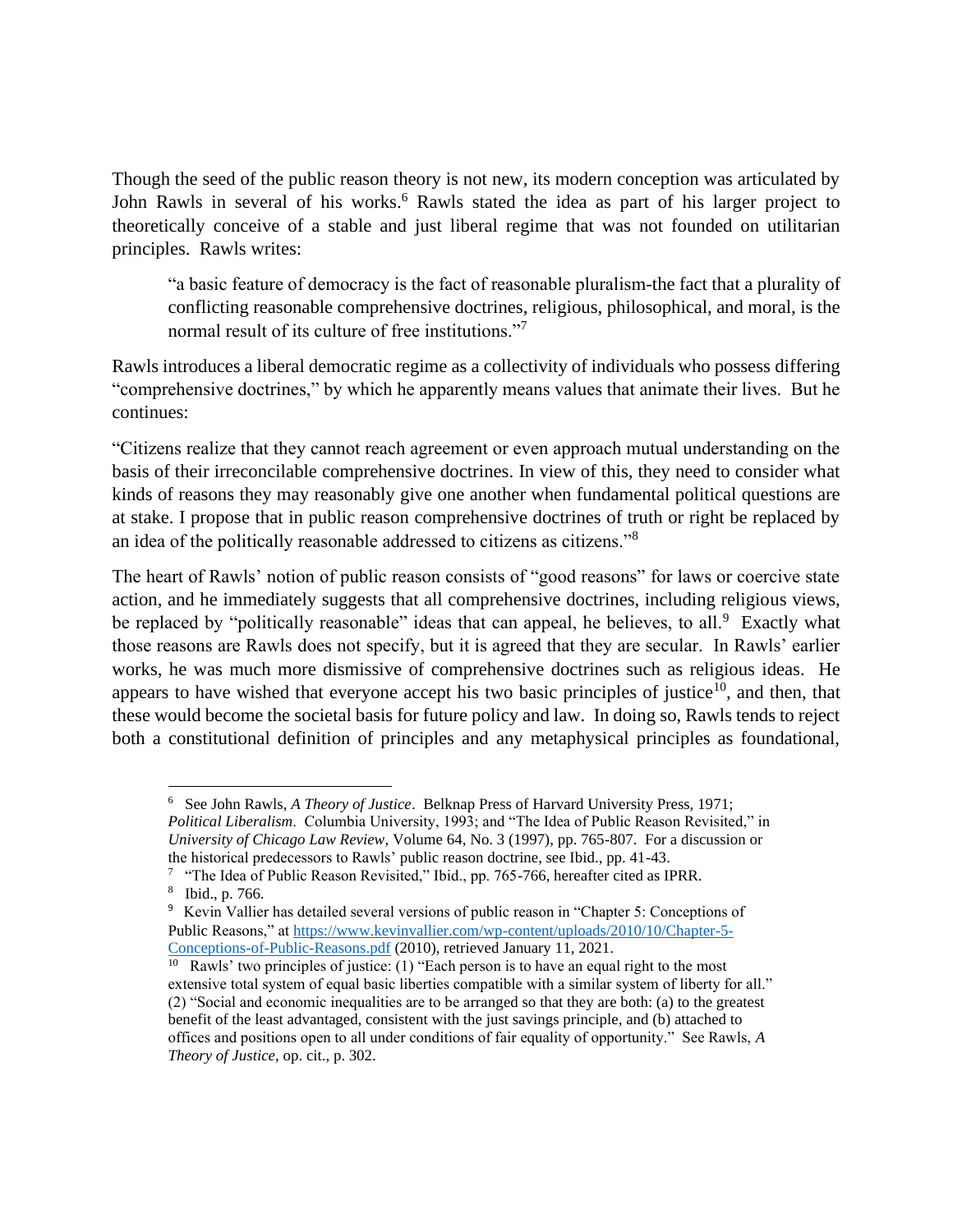Though the seed of the public reason theory is not new, its modern conception was articulated by John Rawls in several of his works.<sup>6</sup> Rawls stated the idea as part of his larger project to theoretically conceive of a stable and just liberal regime that was not founded on utilitarian principles. Rawls writes:

"a basic feature of democracy is the fact of reasonable pluralism-the fact that a plurality of conflicting reasonable comprehensive doctrines, religious, philosophical, and moral, is the normal result of its culture of free institutions."<sup>7</sup>

Rawls introduces a liberal democratic regime as a collectivity of individuals who possess differing "comprehensive doctrines," by which he apparently means values that animate their lives. But he continues:

"Citizens realize that they cannot reach agreement or even approach mutual understanding on the basis of their irreconcilable comprehensive doctrines. In view of this, they need to consider what kinds of reasons they may reasonably give one another when fundamental political questions are at stake. I propose that in public reason comprehensive doctrines of truth or right be replaced by an idea of the politically reasonable addressed to citizens as citizens."<sup>8</sup>

The heart of Rawls' notion of public reason consists of "good reasons" for laws or coercive state action, and he immediately suggests that all comprehensive doctrines, including religious views, be replaced by "politically reasonable" ideas that can appeal, he believes, to all.<sup>9</sup> Exactly what those reasons are Rawls does not specify, but it is agreed that they are secular. In Rawls' earlier works, he was much more dismissive of comprehensive doctrines such as religious ideas. He appears to have wished that everyone accept his two basic principles of justice<sup>10</sup>, and then, that these would become the societal basis for future policy and law. In doing so, Rawls tends to reject both a constitutional definition of principles and any metaphysical principles as foundational,

<sup>6</sup> See John Rawls, *A Theory of Justice*. Belknap Press of Harvard University Press, 1971; *Political Liberalism*. Columbia University, 1993; and "The Idea of Public Reason Revisited," in *University of Chicago Law Review*, Volume 64, No. 3 (1997), pp. 765-807. For a discussion or the historical predecessors to Rawls' public reason doctrine, see Ibid., pp. 41-43.

<sup>&</sup>lt;sup>7</sup> "The Idea of Public Reason Revisited," Ibid., pp. 765-766, hereafter cited as IPRR. 8 Ibid., p. 766.

<sup>&</sup>lt;sup>9</sup> Kevin Vallier has detailed several versions of public reason in "Chapter 5: Conceptions of Public Reasons," at [https://www.kevinvallier.com/wp-content/uploads/2010/10/Chapter-5-](https://www.kevinvallier.com/wp-content/uploads/2010/10/Chapter-5-Conceptions-of-Public-Reasons.pdf) [Conceptions-of-Public-Reasons.pdf](https://www.kevinvallier.com/wp-content/uploads/2010/10/Chapter-5-Conceptions-of-Public-Reasons.pdf) (2010), retrieved January 11, 2021.

<sup>&</sup>lt;sup>10</sup> Rawls' two principles of justice: (1) "Each person is to have an equal right to the most extensive total system of equal basic liberties compatible with a similar system of liberty for all." (2) "Social and economic inequalities are to be arranged so that they are both: (a) to the greatest benefit of the least advantaged, consistent with the just savings principle, and (b) attached to offices and positions open to all under conditions of fair equality of opportunity." See Rawls, *A Theory of Justice*, op. cit., p. 302.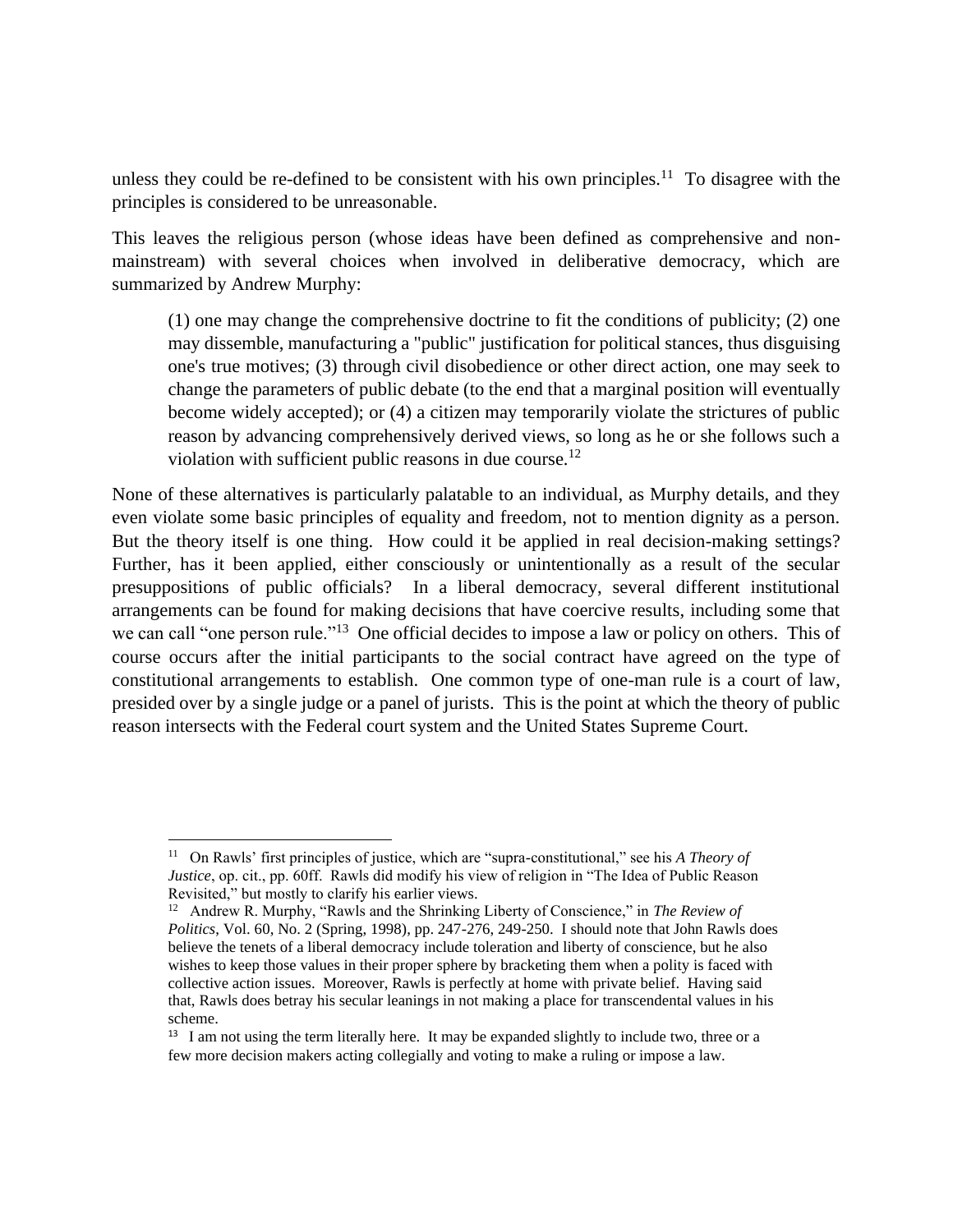unless they could be re-defined to be consistent with his own principles.<sup>11</sup> To disagree with the principles is considered to be unreasonable.

This leaves the religious person (whose ideas have been defined as comprehensive and nonmainstream) with several choices when involved in deliberative democracy, which are summarized by Andrew Murphy:

(1) one may change the comprehensive doctrine to fit the conditions of publicity; (2) one may dissemble, manufacturing a "public" justification for political stances, thus disguising one's true motives; (3) through civil disobedience or other direct action, one may seek to change the parameters of public debate (to the end that a marginal position will eventually become widely accepted); or (4) a citizen may temporarily violate the strictures of public reason by advancing comprehensively derived views, so long as he or she follows such a violation with sufficient public reasons in due course.<sup>12</sup>

None of these alternatives is particularly palatable to an individual, as Murphy details, and they even violate some basic principles of equality and freedom, not to mention dignity as a person. But the theory itself is one thing. How could it be applied in real decision-making settings? Further, has it been applied, either consciously or unintentionally as a result of the secular presuppositions of public officials? In a liberal democracy, several different institutional arrangements can be found for making decisions that have coercive results, including some that we can call "one person rule."<sup>13</sup> One official decides to impose a law or policy on others. This of course occurs after the initial participants to the social contract have agreed on the type of constitutional arrangements to establish. One common type of one-man rule is a court of law, presided over by a single judge or a panel of jurists. This is the point at which the theory of public reason intersects with the Federal court system and the United States Supreme Court.

<sup>11</sup> On Rawls' first principles of justice, which are "supra-constitutional," see his *A Theory of Justice*, op. cit., pp. 60ff. Rawls did modify his view of religion in "The Idea of Public Reason Revisited," but mostly to clarify his earlier views.

<sup>&</sup>lt;sup>12</sup> Andrew R. Murphy, "Rawls and the Shrinking Liberty of Conscience," in *The Review of Politics*, Vol. 60, No. 2 (Spring, 1998), pp. 247-276, 249-250. I should note that John Rawls does believe the tenets of a liberal democracy include toleration and liberty of conscience, but he also wishes to keep those values in their proper sphere by bracketing them when a polity is faced with collective action issues. Moreover, Rawls is perfectly at home with private belief. Having said that, Rawls does betray his secular leanings in not making a place for transcendental values in his scheme.

<sup>&</sup>lt;sup>13</sup> I am not using the term literally here. It may be expanded slightly to include two, three or a few more decision makers acting collegially and voting to make a ruling or impose a law.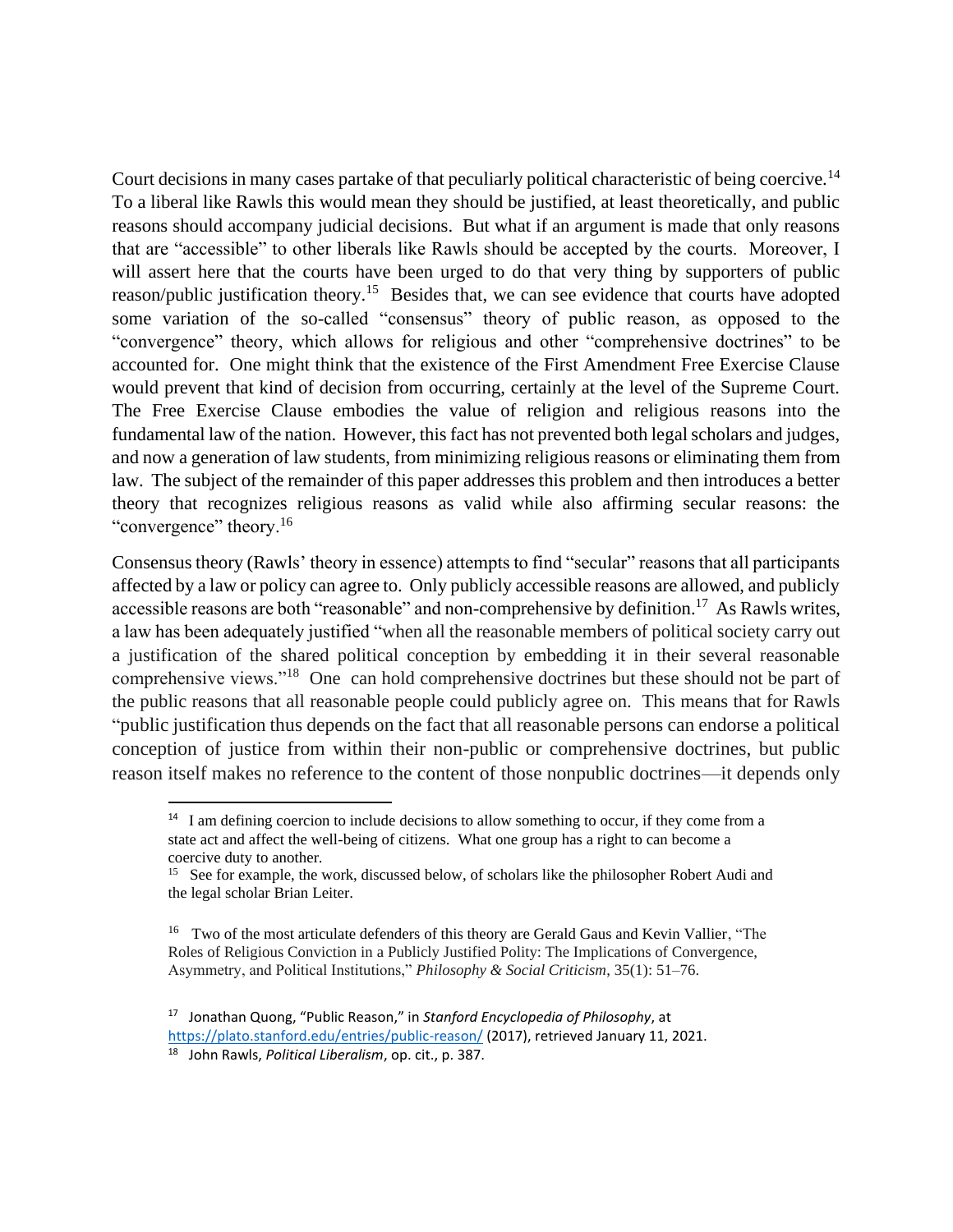Court decisions in many cases partake of that peculiarly political characteristic of being coercive.<sup>14</sup> To a liberal like Rawls this would mean they should be justified, at least theoretically, and public reasons should accompany judicial decisions. But what if an argument is made that only reasons that are "accessible" to other liberals like Rawls should be accepted by the courts. Moreover, I will assert here that the courts have been urged to do that very thing by supporters of public reason/public justification theory.<sup>15</sup> Besides that, we can see evidence that courts have adopted some variation of the so-called "consensus" theory of public reason, as opposed to the "convergence" theory, which allows for religious and other "comprehensive doctrines" to be accounted for. One might think that the existence of the First Amendment Free Exercise Clause would prevent that kind of decision from occurring, certainly at the level of the Supreme Court. The Free Exercise Clause embodies the value of religion and religious reasons into the fundamental law of the nation. However, this fact has not prevented both legal scholars and judges, and now a generation of law students, from minimizing religious reasons or eliminating them from law. The subject of the remainder of this paper addresses this problem and then introduces a better theory that recognizes religious reasons as valid while also affirming secular reasons: the "convergence" theory.<sup>16</sup>

Consensus theory (Rawls' theory in essence) attempts to find "secular" reasons that all participants affected by a law or policy can agree to. Only publicly accessible reasons are allowed, and publicly accessible reasons are both "reasonable" and non-comprehensive by definition.<sup>17</sup> As Rawls writes, a law has been adequately justified "when all the reasonable members of political society carry out a justification of the shared political conception by embedding it in their several reasonable comprehensive views."<sup>18</sup> One can hold comprehensive doctrines but these should not be part of the public reasons that all reasonable people could publicly agree on. This means that for Rawls "public justification thus depends on the fact that all reasonable persons can endorse a political conception of justice from within their non-public or comprehensive doctrines, but public reason itself makes no reference to the content of those nonpublic doctrines—it depends only

<sup>&</sup>lt;sup>14</sup> I am defining coercion to include decisions to allow something to occur, if they come from a state act and affect the well-being of citizens. What one group has a right to can become a coercive duty to another.

<sup>&</sup>lt;sup>15</sup> See for example, the work, discussed below, of scholars like the philosopher Robert Audi and the legal scholar Brian Leiter.

<sup>&</sup>lt;sup>16</sup> Two of the most articulate defenders of this theory are Gerald Gaus and Kevin Vallier, "The Roles of Religious Conviction in a Publicly Justified Polity: The Implications of Convergence, Asymmetry, and Political Institutions," *Philosophy & Social Criticism*, 35(1): 51–76.

<sup>17</sup> Jonathan Quong, "Public Reason," in *Stanford Encyclopedia of Philosophy*, at <https://plato.stanford.edu/entries/public-reason/> (2017), retrieved January 11, 2021.

<sup>18</sup> John Rawls, *Political Liberalism*, op. cit., p. 387.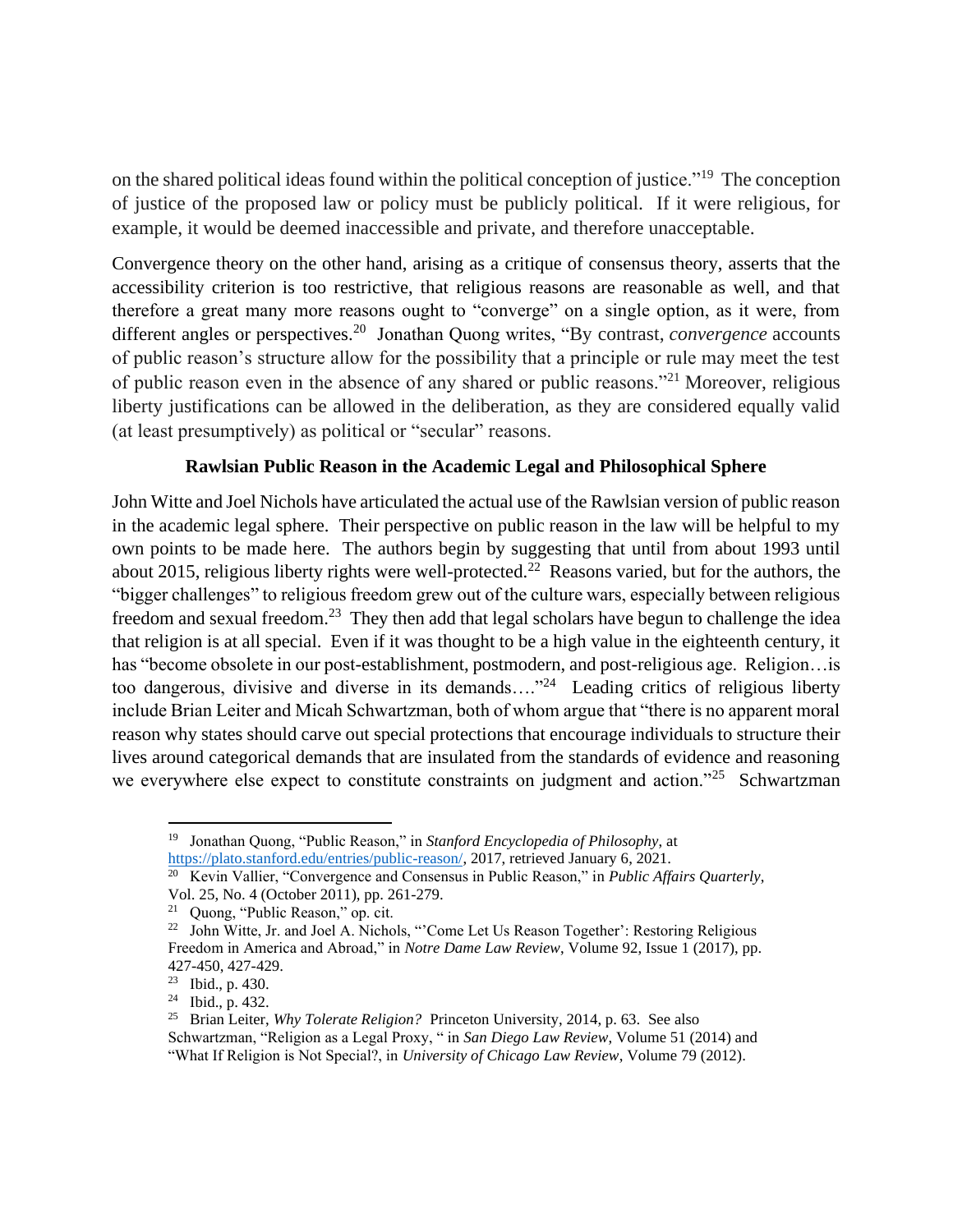on the shared political ideas found within the political conception of justice."<sup>19</sup> The conception of justice of the proposed law or policy must be publicly political. If it were religious, for example, it would be deemed inaccessible and private, and therefore unacceptable.

Convergence theory on the other hand, arising as a critique of consensus theory, asserts that the accessibility criterion is too restrictive, that religious reasons are reasonable as well, and that therefore a great many more reasons ought to "converge" on a single option, as it were, from different angles or perspectives.<sup>20</sup> Jonathan Quong writes, "By contrast, *convergence* accounts of public reason's structure allow for the possibility that a principle or rule may meet the test of public reason even in the absence of any shared or public reasons."<sup>21</sup> Moreover, religious liberty justifications can be allowed in the deliberation, as they are considered equally valid (at least presumptively) as political or "secular" reasons.

# **Rawlsian Public Reason in the Academic Legal and Philosophical Sphere**

John Witte and Joel Nichols have articulated the actual use of the Rawlsian version of public reason in the academic legal sphere. Their perspective on public reason in the law will be helpful to my own points to be made here. The authors begin by suggesting that until from about 1993 until about 2015, religious liberty rights were well-protected.<sup>22</sup> Reasons varied, but for the authors, the "bigger challenges" to religious freedom grew out of the culture wars, especially between religious freedom and sexual freedom.<sup>23</sup> They then add that legal scholars have begun to challenge the idea that religion is at all special. Even if it was thought to be a high value in the eighteenth century, it has "become obsolete in our post-establishment, postmodern, and post-religious age. Religion... is too dangerous, divisive and diverse in its demands...."<sup>24</sup> Leading critics of religious liberty include Brian Leiter and Micah Schwartzman, both of whom argue that "there is no apparent moral reason why states should carve out special protections that encourage individuals to structure their lives around categorical demands that are insulated from the standards of evidence and reasoning we everywhere else expect to constitute constraints on judgment and action."<sup>25</sup> Schwartzman

<sup>19</sup> Jonathan Quong, "Public Reason," in *Stanford Encyclopedia of Philosophy*, at [https://plato.stanford.edu/entries/public-reason/,](https://plato.stanford.edu/entries/public-reason/) 2017, retrieved January 6, 2021.

<sup>20</sup> Kevin Vallier, "Convergence and Consensus in Public Reason," in *Public Affairs Quarterly*, Vol. 25, No. 4 (October 2011), pp. 261-279.

<sup>21</sup> Quong, "Public Reason," op. cit.

<sup>&</sup>lt;sup>22</sup> John Witte, Jr. and Joel A. Nichols, "Come Let Us Reason Together': Restoring Religious Freedom in America and Abroad," in *Notre Dame Law Review*, Volume 92, Issue 1 (2017), pp. 427-450, 427-429.

<sup>23</sup> Ibid., p. 430.

 $24$  Ibid., p. 432.

<sup>25</sup> Brian Leiter, *Why Tolerate Religion?* Princeton University, 2014, p. 63. See also Schwartzman, "Religion as a Legal Proxy, " in *San Diego Law Review*, Volume 51 (2014) and "What If Religion is Not Special?, in *University of Chicago Law Review*, Volume 79 (2012).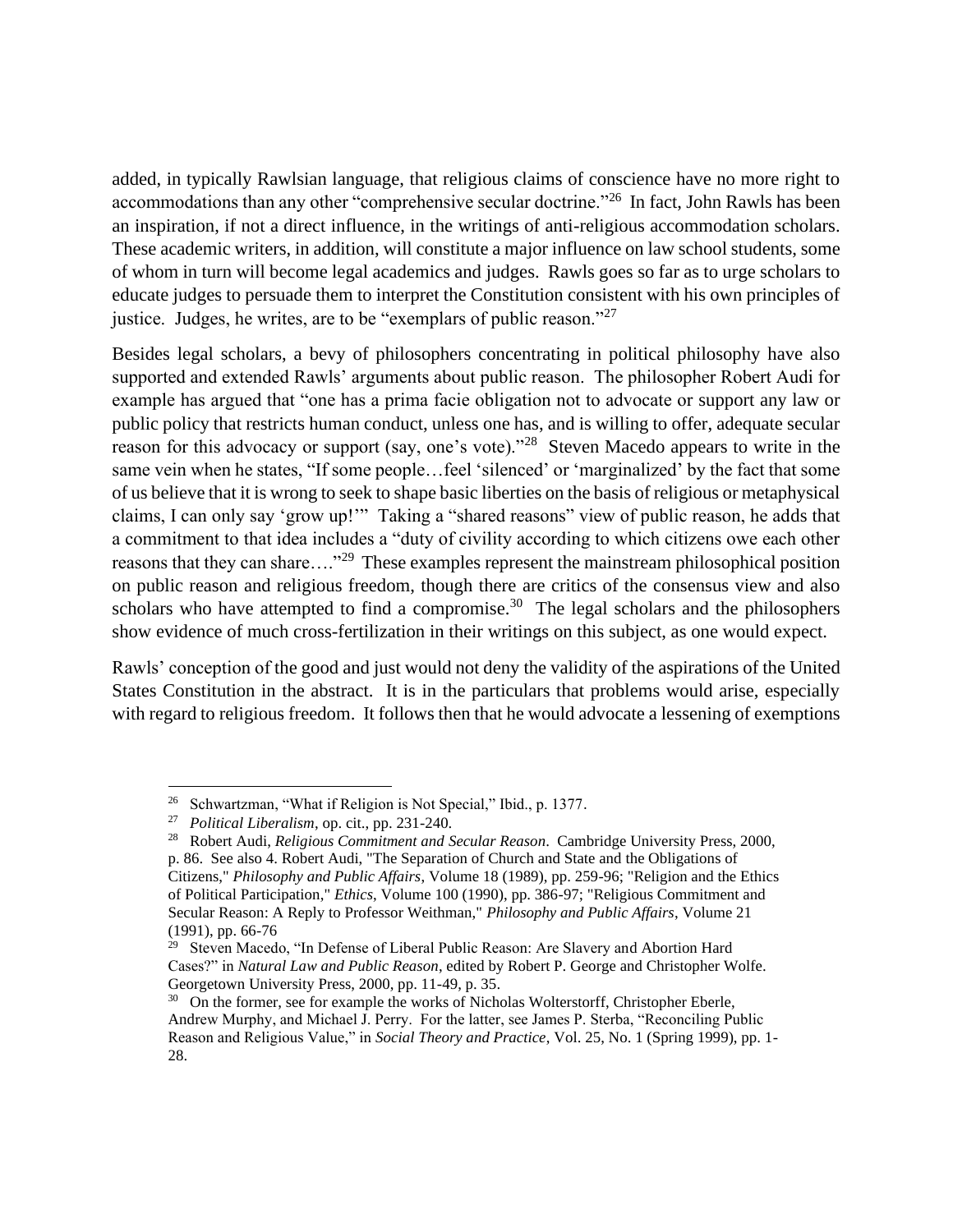added, in typically Rawlsian language, that religious claims of conscience have no more right to accommodations than any other "comprehensive secular doctrine."<sup>26</sup> In fact, John Rawls has been an inspiration, if not a direct influence, in the writings of anti-religious accommodation scholars. These academic writers, in addition, will constitute a major influence on law school students, some of whom in turn will become legal academics and judges. Rawls goes so far as to urge scholars to educate judges to persuade them to interpret the Constitution consistent with his own principles of justice. Judges, he writes, are to be "exemplars of public reason."<sup>27</sup>

Besides legal scholars, a bevy of philosophers concentrating in political philosophy have also supported and extended Rawls' arguments about public reason. The philosopher Robert Audi for example has argued that "one has a prima facie obligation not to advocate or support any law or public policy that restricts human conduct, unless one has, and is willing to offer, adequate secular reason for this advocacy or support (say, one's vote)."<sup>28</sup> Steven Macedo appears to write in the same vein when he states, "If some people…feel 'silenced' or 'marginalized' by the fact that some of us believe that it is wrong to seek to shape basic liberties on the basis of religious or metaphysical claims, I can only say 'grow up!'" Taking a "shared reasons" view of public reason, he adds that a commitment to that idea includes a "duty of civility according to which citizens owe each other reasons that they can share...."<sup>29</sup> These examples represent the mainstream philosophical position on public reason and religious freedom, though there are critics of the consensus view and also scholars who have attempted to find a compromise.<sup>30</sup> The legal scholars and the philosophers show evidence of much cross-fertilization in their writings on this subject, as one would expect.

Rawls' conception of the good and just would not deny the validity of the aspirations of the United States Constitution in the abstract. It is in the particulars that problems would arise, especially with regard to religious freedom. It follows then that he would advocate a lessening of exemptions

<sup>&</sup>lt;sup>26</sup> Schwartzman, "What if Religion is Not Special," Ibid., p. 1377.

<sup>27</sup> *Political Liberalism*, op. cit., pp. 231-240.

<sup>28</sup> Robert Audi, *Religious Commitment and Secular Reason*. Cambridge University Press, 2000, p. 86. See also 4. Robert Audi, "The Separation of Church and State and the Obligations of Citizens," *Philosophy and Public Affairs*, Volume 18 (1989), pp. 259-96; "Religion and the Ethics of Political Participation," *Ethics*, Volume 100 (1990), pp. 386-97; "Religious Commitment and Secular Reason: A Reply to Professor Weithman," *Philosophy and Public Affairs*, Volume 21 (1991), pp. 66-76

<sup>&</sup>lt;sup>29</sup> Steven Macedo, "In Defense of Liberal Public Reason: Are Slavery and Abortion Hard Cases?" in *Natural Law and Public Reason*, edited by Robert P. George and Christopher Wolfe. Georgetown University Press, 2000, pp. 11-49, p. 35.

<sup>&</sup>lt;sup>30</sup> On the former, see for example the works of Nicholas Wolterstorff, Christopher Eberle, Andrew Murphy, and Michael J. Perry. For the latter, see James P. Sterba, "Reconciling Public Reason and Religious Value," in *Social Theory and Practice*, Vol. 25, No. 1 (Spring 1999), pp. 1- 28.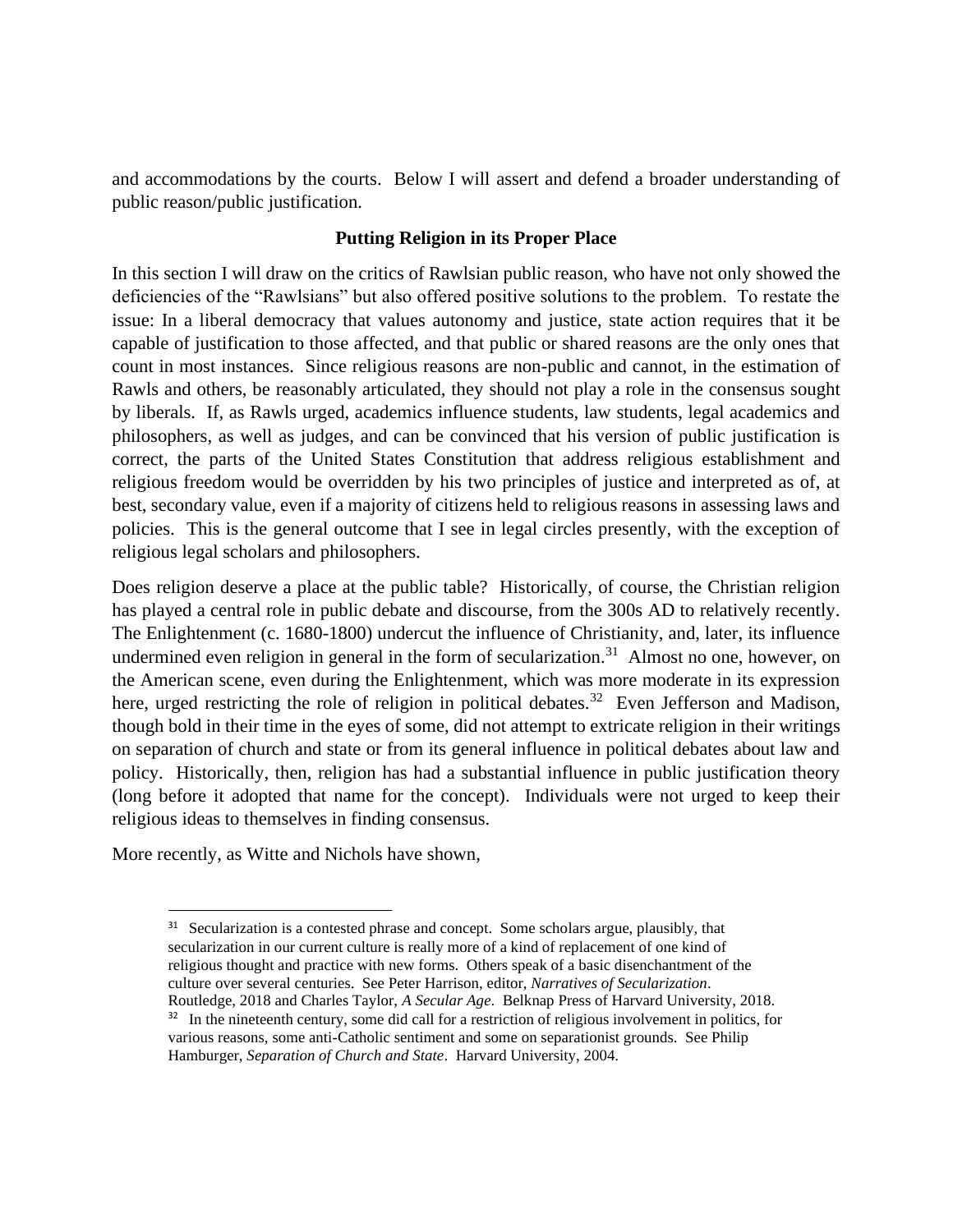and accommodations by the courts. Below I will assert and defend a broader understanding of public reason/public justification.

# **Putting Religion in its Proper Place**

In this section I will draw on the critics of Rawlsian public reason, who have not only showed the deficiencies of the "Rawlsians" but also offered positive solutions to the problem. To restate the issue: In a liberal democracy that values autonomy and justice, state action requires that it be capable of justification to those affected, and that public or shared reasons are the only ones that count in most instances. Since religious reasons are non-public and cannot, in the estimation of Rawls and others, be reasonably articulated, they should not play a role in the consensus sought by liberals. If, as Rawls urged, academics influence students, law students, legal academics and philosophers, as well as judges, and can be convinced that his version of public justification is correct, the parts of the United States Constitution that address religious establishment and religious freedom would be overridden by his two principles of justice and interpreted as of, at best, secondary value, even if a majority of citizens held to religious reasons in assessing laws and policies. This is the general outcome that I see in legal circles presently, with the exception of religious legal scholars and philosophers.

Does religion deserve a place at the public table? Historically, of course, the Christian religion has played a central role in public debate and discourse, from the 300s AD to relatively recently. The Enlightenment (c. 1680-1800) undercut the influence of Christianity, and, later, its influence undermined even religion in general in the form of secularization.<sup>31</sup> Almost no one, however, on the American scene, even during the Enlightenment, which was more moderate in its expression here, urged restricting the role of religion in political debates.<sup>32</sup> Even Jefferson and Madison, though bold in their time in the eyes of some, did not attempt to extricate religion in their writings on separation of church and state or from its general influence in political debates about law and policy. Historically, then, religion has had a substantial influence in public justification theory (long before it adopted that name for the concept). Individuals were not urged to keep their religious ideas to themselves in finding consensus.

More recently, as Witte and Nichols have shown,

<sup>&</sup>lt;sup>31</sup> Secularization is a contested phrase and concept. Some scholars argue, plausibly, that secularization in our current culture is really more of a kind of replacement of one kind of religious thought and practice with new forms. Others speak of a basic disenchantment of the culture over several centuries. See Peter Harrison, editor, *Narratives of Secularization*. Routledge, 2018 and Charles Taylor, *A Secular Age*. Belknap Press of Harvard University, 2018.

<sup>&</sup>lt;sup>32</sup> In the nineteenth century, some did call for a restriction of religious involvement in politics, for various reasons, some anti-Catholic sentiment and some on separationist grounds. See Philip Hamburger, *Separation of Church and State*. Harvard University, 2004.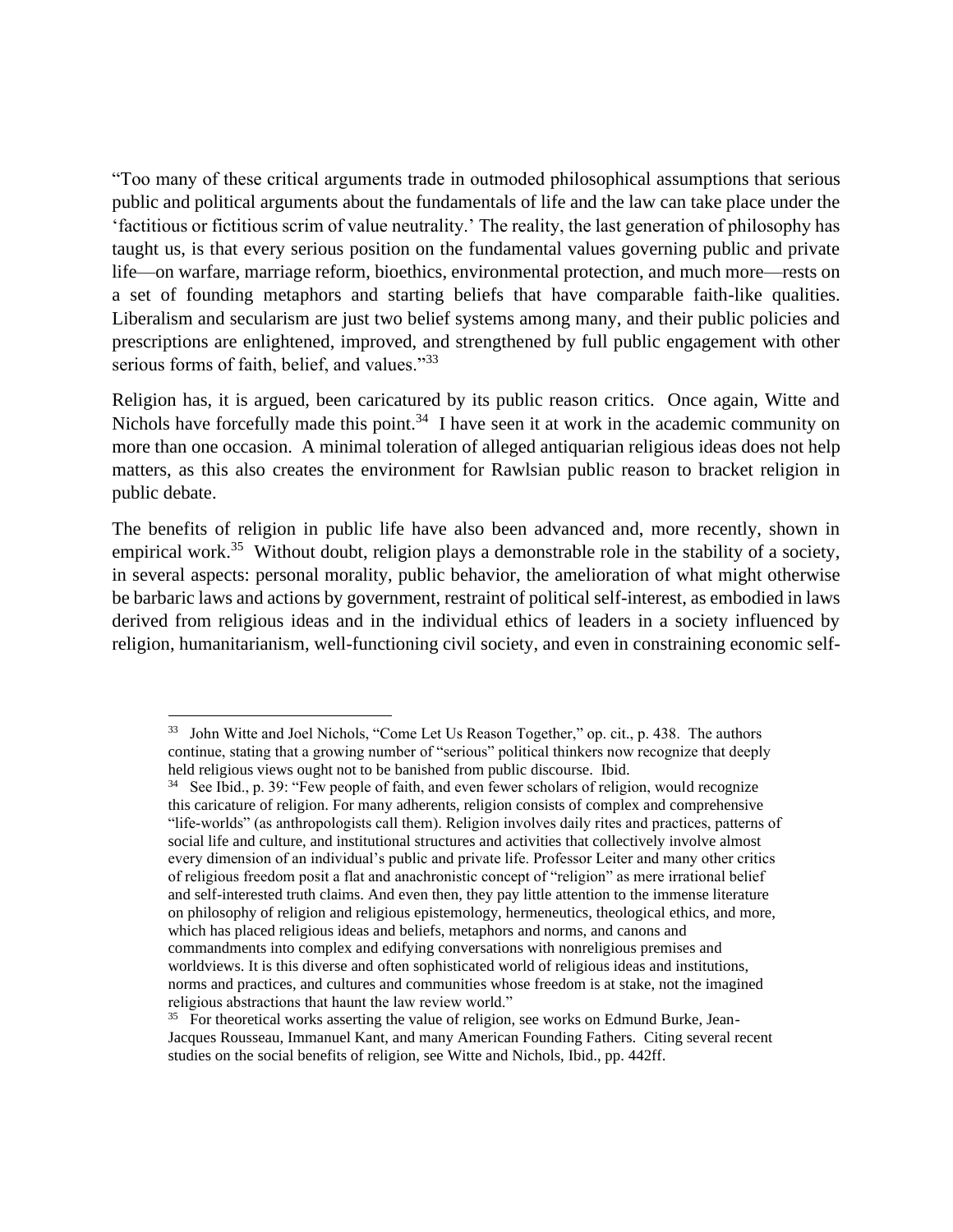"Too many of these critical arguments trade in outmoded philosophical assumptions that serious public and political arguments about the fundamentals of life and the law can take place under the 'factitious or fictitious scrim of value neutrality.' The reality, the last generation of philosophy has taught us, is that every serious position on the fundamental values governing public and private life—on warfare, marriage reform, bioethics, environmental protection, and much more—rests on a set of founding metaphors and starting beliefs that have comparable faith-like qualities. Liberalism and secularism are just two belief systems among many, and their public policies and prescriptions are enlightened, improved, and strengthened by full public engagement with other serious forms of faith, belief, and values."<sup>33</sup>

Religion has, it is argued, been caricatured by its public reason critics. Once again, Witte and Nichols have forcefully made this point.<sup>34</sup> I have seen it at work in the academic community on more than one occasion. A minimal toleration of alleged antiquarian religious ideas does not help matters, as this also creates the environment for Rawlsian public reason to bracket religion in public debate.

The benefits of religion in public life have also been advanced and, more recently, shown in empirical work.<sup>35</sup> Without doubt, religion plays a demonstrable role in the stability of a society, in several aspects: personal morality, public behavior, the amelioration of what might otherwise be barbaric laws and actions by government, restraint of political self-interest, as embodied in laws derived from religious ideas and in the individual ethics of leaders in a society influenced by religion, humanitarianism, well-functioning civil society, and even in constraining economic self-

<sup>33</sup> John Witte and Joel Nichols, "Come Let Us Reason Together," op. cit., p. 438. The authors continue, stating that a growing number of "serious" political thinkers now recognize that deeply held religious views ought not to be banished from public discourse. Ibid.

<sup>34</sup> See Ibid., p. 39: "Few people of faith, and even fewer scholars of religion, would recognize this caricature of religion. For many adherents, religion consists of complex and comprehensive "life-worlds" (as anthropologists call them). Religion involves daily rites and practices, patterns of social life and culture, and institutional structures and activities that collectively involve almost every dimension of an individual's public and private life. Professor Leiter and many other critics of religious freedom posit a flat and anachronistic concept of "religion" as mere irrational belief and self-interested truth claims. And even then, they pay little attention to the immense literature on philosophy of religion and religious epistemology, hermeneutics, theological ethics, and more, which has placed religious ideas and beliefs, metaphors and norms, and canons and commandments into complex and edifying conversations with nonreligious premises and worldviews. It is this diverse and often sophisticated world of religious ideas and institutions, norms and practices, and cultures and communities whose freedom is at stake, not the imagined religious abstractions that haunt the law review world."

<sup>&</sup>lt;sup>35</sup> For theoretical works asserting the value of religion, see works on Edmund Burke, Jean-Jacques Rousseau, Immanuel Kant, and many American Founding Fathers. Citing several recent studies on the social benefits of religion, see Witte and Nichols, Ibid., pp. 442ff.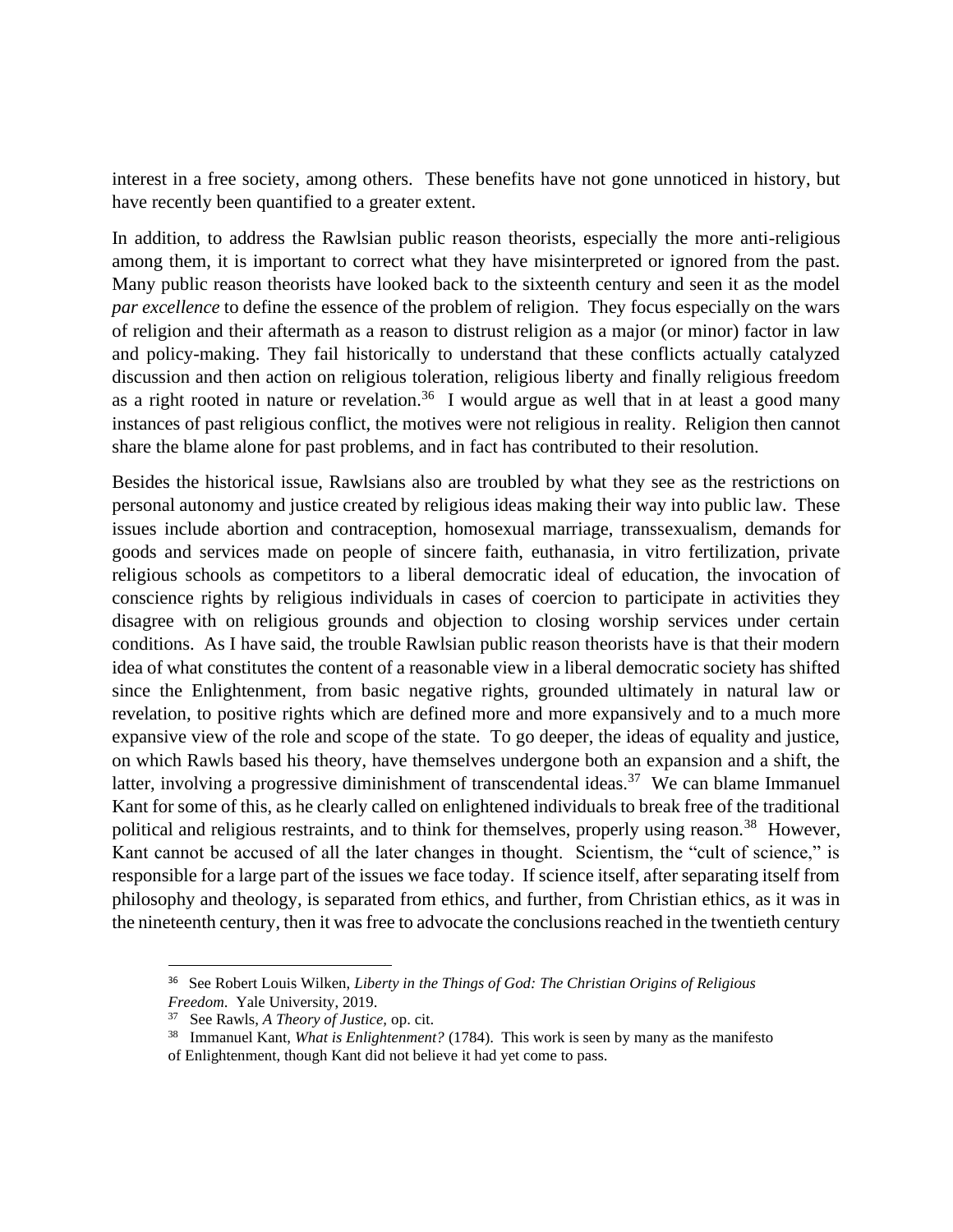interest in a free society, among others. These benefits have not gone unnoticed in history, but have recently been quantified to a greater extent.

In addition, to address the Rawlsian public reason theorists, especially the more anti-religious among them, it is important to correct what they have misinterpreted or ignored from the past. Many public reason theorists have looked back to the sixteenth century and seen it as the model *par excellence* to define the essence of the problem of religion. They focus especially on the wars of religion and their aftermath as a reason to distrust religion as a major (or minor) factor in law and policy-making. They fail historically to understand that these conflicts actually catalyzed discussion and then action on religious toleration, religious liberty and finally religious freedom as a right rooted in nature or revelation.<sup>36</sup> I would argue as well that in at least a good many instances of past religious conflict, the motives were not religious in reality. Religion then cannot share the blame alone for past problems, and in fact has contributed to their resolution.

Besides the historical issue, Rawlsians also are troubled by what they see as the restrictions on personal autonomy and justice created by religious ideas making their way into public law. These issues include abortion and contraception, homosexual marriage, transsexualism, demands for goods and services made on people of sincere faith, euthanasia, in vitro fertilization, private religious schools as competitors to a liberal democratic ideal of education, the invocation of conscience rights by religious individuals in cases of coercion to participate in activities they disagree with on religious grounds and objection to closing worship services under certain conditions. As I have said, the trouble Rawlsian public reason theorists have is that their modern idea of what constitutes the content of a reasonable view in a liberal democratic society has shifted since the Enlightenment, from basic negative rights, grounded ultimately in natural law or revelation, to positive rights which are defined more and more expansively and to a much more expansive view of the role and scope of the state. To go deeper, the ideas of equality and justice, on which Rawls based his theory, have themselves undergone both an expansion and a shift, the latter, involving a progressive diminishment of transcendental ideas.<sup>37</sup> We can blame Immanuel Kant for some of this, as he clearly called on enlightened individuals to break free of the traditional political and religious restraints, and to think for themselves, properly using reason.<sup>38</sup> However, Kant cannot be accused of all the later changes in thought. Scientism, the "cult of science," is responsible for a large part of the issues we face today. If science itself, after separating itself from philosophy and theology, is separated from ethics, and further, from Christian ethics, as it was in the nineteenth century, then it was free to advocate the conclusions reached in the twentieth century

<sup>36</sup> See Robert Louis Wilken, *Liberty in the Things of God: The Christian Origins of Religious Freedom*. Yale University, 2019.

<sup>37</sup> See Rawls, *A Theory of Justice,* op. cit.

<sup>38</sup> Immanuel Kant, *What is Enlightenment?* (1784). This work is seen by many as the manifesto of Enlightenment, though Kant did not believe it had yet come to pass.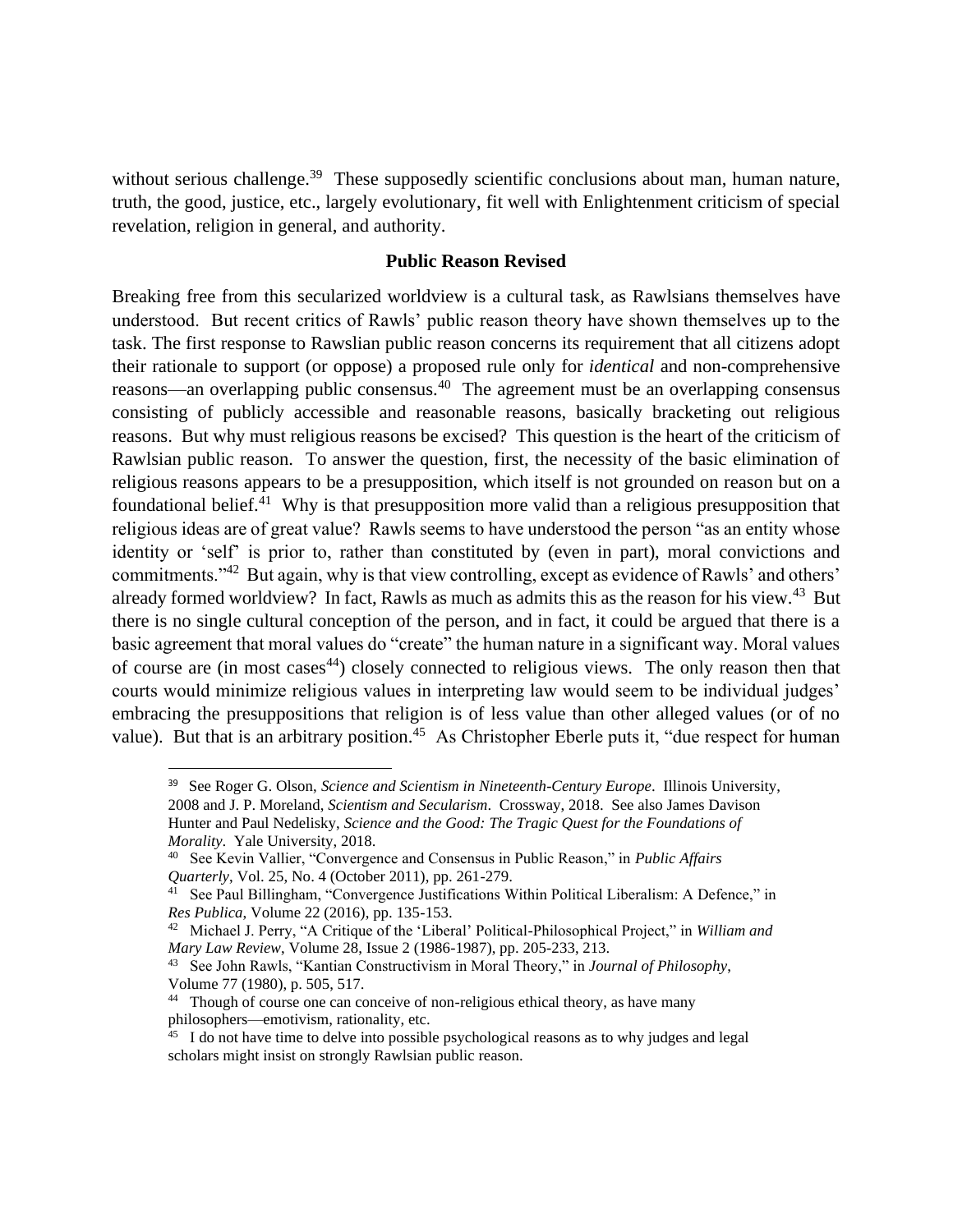without serious challenge.<sup>39</sup> These supposedly scientific conclusions about man, human nature, truth, the good, justice, etc., largely evolutionary, fit well with Enlightenment criticism of special revelation, religion in general, and authority.

# **Public Reason Revised**

Breaking free from this secularized worldview is a cultural task, as Rawlsians themselves have understood. But recent critics of Rawls' public reason theory have shown themselves up to the task. The first response to Rawslian public reason concerns its requirement that all citizens adopt their rationale to support (or oppose) a proposed rule only for *identical* and non-comprehensive reasons—an overlapping public consensus.<sup>40</sup> The agreement must be an overlapping consensus consisting of publicly accessible and reasonable reasons, basically bracketing out religious reasons. But why must religious reasons be excised? This question is the heart of the criticism of Rawlsian public reason. To answer the question, first, the necessity of the basic elimination of religious reasons appears to be a presupposition, which itself is not grounded on reason but on a foundational belief.<sup>41</sup> Why is that presupposition more valid than a religious presupposition that religious ideas are of great value? Rawls seems to have understood the person "as an entity whose identity or 'self' is prior to, rather than constituted by (even in part), moral convictions and commitments."<sup>42</sup> But again, why is that view controlling, except as evidence of Rawls' and others' already formed worldview? In fact, Rawls as much as admits this as the reason for his view.<sup>43</sup> But there is no single cultural conception of the person, and in fact, it could be argued that there is a basic agreement that moral values do "create" the human nature in a significant way. Moral values of course are (in most cases<sup>44</sup>) closely connected to religious views. The only reason then that courts would minimize religious values in interpreting law would seem to be individual judges' embracing the presuppositions that religion is of less value than other alleged values (or of no value). But that is an arbitrary position.<sup>45</sup> As Christopher Eberle puts it, "due respect for human

<sup>39</sup> See Roger G. Olson, *Science and Scientism in Nineteenth-Century Europe*. Illinois University, 2008 and J. P. Moreland, *Scientism and Secularism*. Crossway, 2018. See also James Davison Hunter and Paul Nedelisky, *Science and the Good: The Tragic Quest for the Foundations of Morality*. Yale University, 2018.

<sup>40</sup> See Kevin Vallier, "Convergence and Consensus in Public Reason," in *Public Affairs Quarterly*, Vol. 25, No. 4 (October 2011), pp. 261-279.

<sup>&</sup>lt;sup>41</sup> See Paul Billingham, "Convergence Justifications Within Political Liberalism: A Defence," in *Res Publica*, Volume 22 (2016), pp. 135-153.

<sup>42</sup> Michael J. Perry, "A Critique of the 'Liberal' Political-Philosophical Project," in *William and Mary Law Review*, Volume 28, Issue 2 (1986-1987), pp. 205-233, 213.

<sup>43</sup> See John Rawls, "Kantian Constructivism in Moral Theory," in *Journal of Philosophy*, Volume 77 (1980), p. 505, 517.

<sup>&</sup>lt;sup>44</sup> Though of course one can conceive of non-religious ethical theory, as have many philosophers—emotivism, rationality, etc.

<sup>&</sup>lt;sup>45</sup> I do not have time to delve into possible psychological reasons as to why judges and legal scholars might insist on strongly Rawlsian public reason.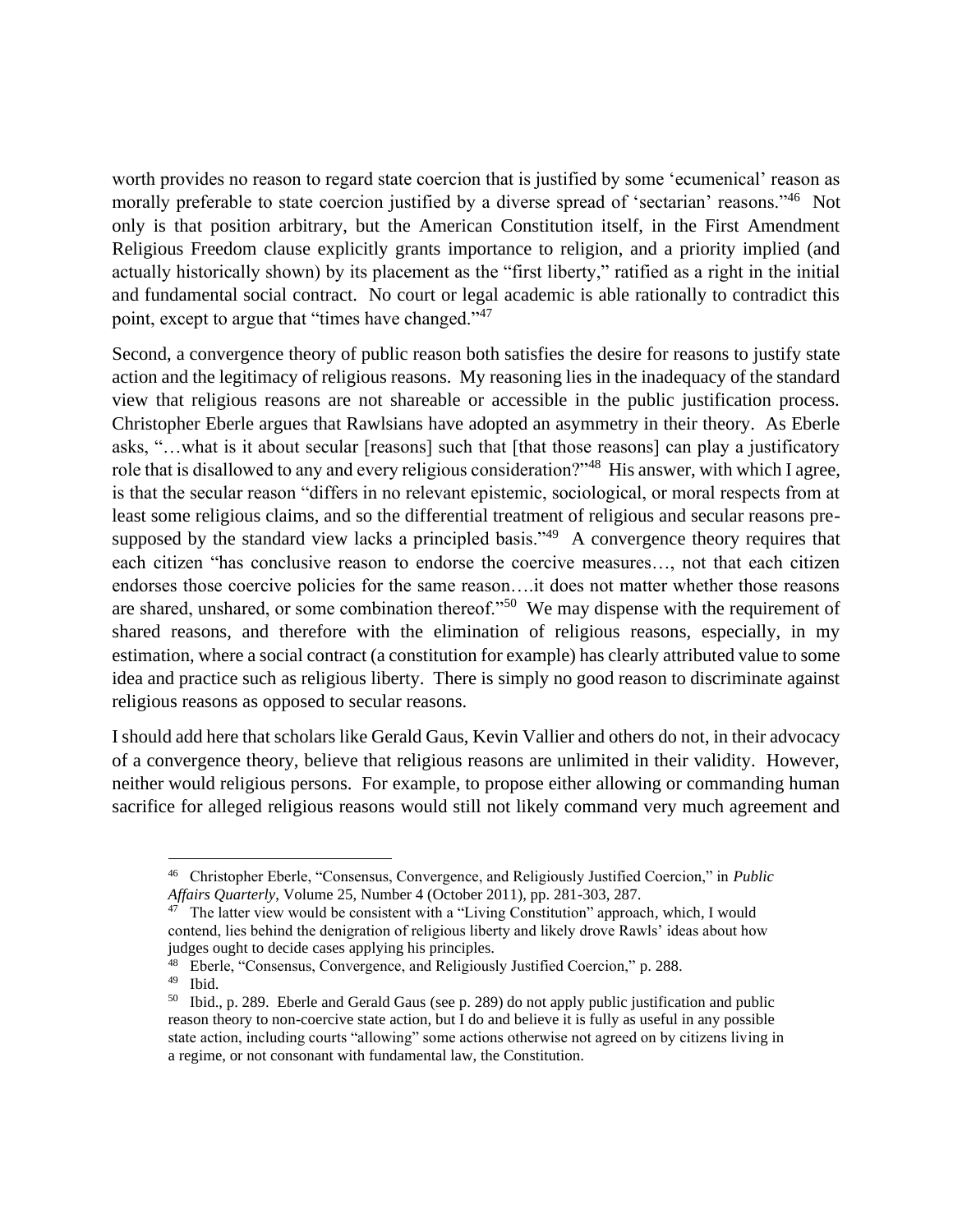worth provides no reason to regard state coercion that is justified by some 'ecumenical' reason as morally preferable to state coercion justified by a diverse spread of 'sectarian' reasons."<sup>46</sup> Not only is that position arbitrary, but the American Constitution itself, in the First Amendment Religious Freedom clause explicitly grants importance to religion, and a priority implied (and actually historically shown) by its placement as the "first liberty," ratified as a right in the initial and fundamental social contract. No court or legal academic is able rationally to contradict this point, except to argue that "times have changed."<sup>47</sup>

Second, a convergence theory of public reason both satisfies the desire for reasons to justify state action and the legitimacy of religious reasons. My reasoning lies in the inadequacy of the standard view that religious reasons are not shareable or accessible in the public justification process. Christopher Eberle argues that Rawlsians have adopted an asymmetry in their theory. As Eberle asks, "…what is it about secular [reasons] such that [that those reasons] can play a justificatory role that is disallowed to any and every religious consideration?"<sup>48</sup> His answer, with which I agree, is that the secular reason "differs in no relevant epistemic, sociological, or moral respects from at least some religious claims, and so the differential treatment of religious and secular reasons presupposed by the standard view lacks a principled basis." $49$  A convergence theory requires that each citizen "has conclusive reason to endorse the coercive measures…, not that each citizen endorses those coercive policies for the same reason….it does not matter whether those reasons are shared, unshared, or some combination thereof."<sup>50</sup> We may dispense with the requirement of shared reasons, and therefore with the elimination of religious reasons, especially, in my estimation, where a social contract (a constitution for example) has clearly attributed value to some idea and practice such as religious liberty. There is simply no good reason to discriminate against religious reasons as opposed to secular reasons.

I should add here that scholars like Gerald Gaus, Kevin Vallier and others do not, in their advocacy of a convergence theory, believe that religious reasons are unlimited in their validity. However, neither would religious persons. For example, to propose either allowing or commanding human sacrifice for alleged religious reasons would still not likely command very much agreement and

<sup>46</sup> Christopher Eberle, "Consensus, Convergence, and Religiously Justified Coercion," in *Public Affairs Quarterly*, Volume 25, Number 4 (October 2011), pp. 281-303, 287.

<sup>&</sup>lt;sup>47</sup> The latter view would be consistent with a "Living Constitution" approach, which, I would contend, lies behind the denigration of religious liberty and likely drove Rawls' ideas about how judges ought to decide cases applying his principles.

<sup>48</sup> Eberle, "Consensus, Convergence, and Religiously Justified Coercion," p. 288.

<sup>49</sup> Ibid.

<sup>&</sup>lt;sup>50</sup> Ibid., p. 289. Eberle and Gerald Gaus (see p. 289) do not apply public justification and public reason theory to non-coercive state action, but I do and believe it is fully as useful in any possible state action, including courts "allowing" some actions otherwise not agreed on by citizens living in a regime, or not consonant with fundamental law, the Constitution.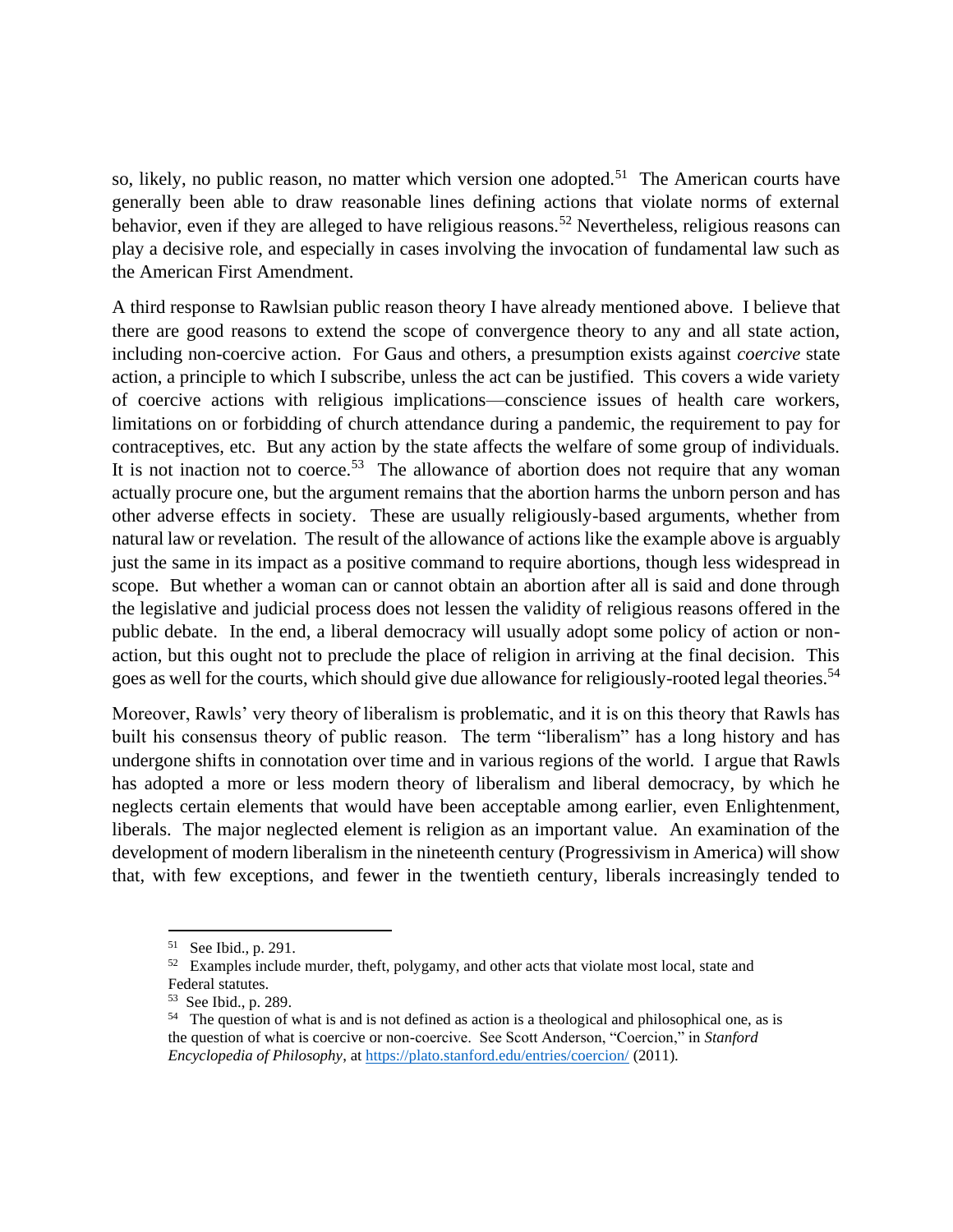so, likely, no public reason, no matter which version one adopted.<sup>51</sup> The American courts have generally been able to draw reasonable lines defining actions that violate norms of external behavior, even if they are alleged to have religious reasons.<sup>52</sup> Nevertheless, religious reasons can play a decisive role, and especially in cases involving the invocation of fundamental law such as the American First Amendment.

A third response to Rawlsian public reason theory I have already mentioned above. I believe that there are good reasons to extend the scope of convergence theory to any and all state action, including non-coercive action. For Gaus and others, a presumption exists against *coercive* state action, a principle to which I subscribe, unless the act can be justified. This covers a wide variety of coercive actions with religious implications—conscience issues of health care workers, limitations on or forbidding of church attendance during a pandemic, the requirement to pay for contraceptives, etc. But any action by the state affects the welfare of some group of individuals. It is not inaction not to coerce.<sup>53</sup> The allowance of abortion does not require that any woman actually procure one, but the argument remains that the abortion harms the unborn person and has other adverse effects in society. These are usually religiously-based arguments, whether from natural law or revelation. The result of the allowance of actions like the example above is arguably just the same in its impact as a positive command to require abortions, though less widespread in scope. But whether a woman can or cannot obtain an abortion after all is said and done through the legislative and judicial process does not lessen the validity of religious reasons offered in the public debate. In the end, a liberal democracy will usually adopt some policy of action or nonaction, but this ought not to preclude the place of religion in arriving at the final decision. This goes as well for the courts, which should give due allowance for religiously-rooted legal theories.<sup>54</sup>

Moreover, Rawls' very theory of liberalism is problematic, and it is on this theory that Rawls has built his consensus theory of public reason. The term "liberalism" has a long history and has undergone shifts in connotation over time and in various regions of the world. I argue that Rawls has adopted a more or less modern theory of liberalism and liberal democracy, by which he neglects certain elements that would have been acceptable among earlier, even Enlightenment, liberals. The major neglected element is religion as an important value. An examination of the development of modern liberalism in the nineteenth century (Progressivism in America) will show that, with few exceptions, and fewer in the twentieth century, liberals increasingly tended to

<sup>&</sup>lt;sup>51</sup> See Ibid., p. 291.

 $52$  Examples include murder, theft, polygamy, and other acts that violate most local, state and Federal statutes.

<sup>53</sup> See Ibid., p. 289.

<sup>&</sup>lt;sup>54</sup> The question of what is and is not defined as action is a theological and philosophical one, as is the question of what is coercive or non-coercive. See Scott Anderson, "Coercion," in *Stanford Encyclopedia of Philosophy*, at<https://plato.stanford.edu/entries/coercion/> (2011).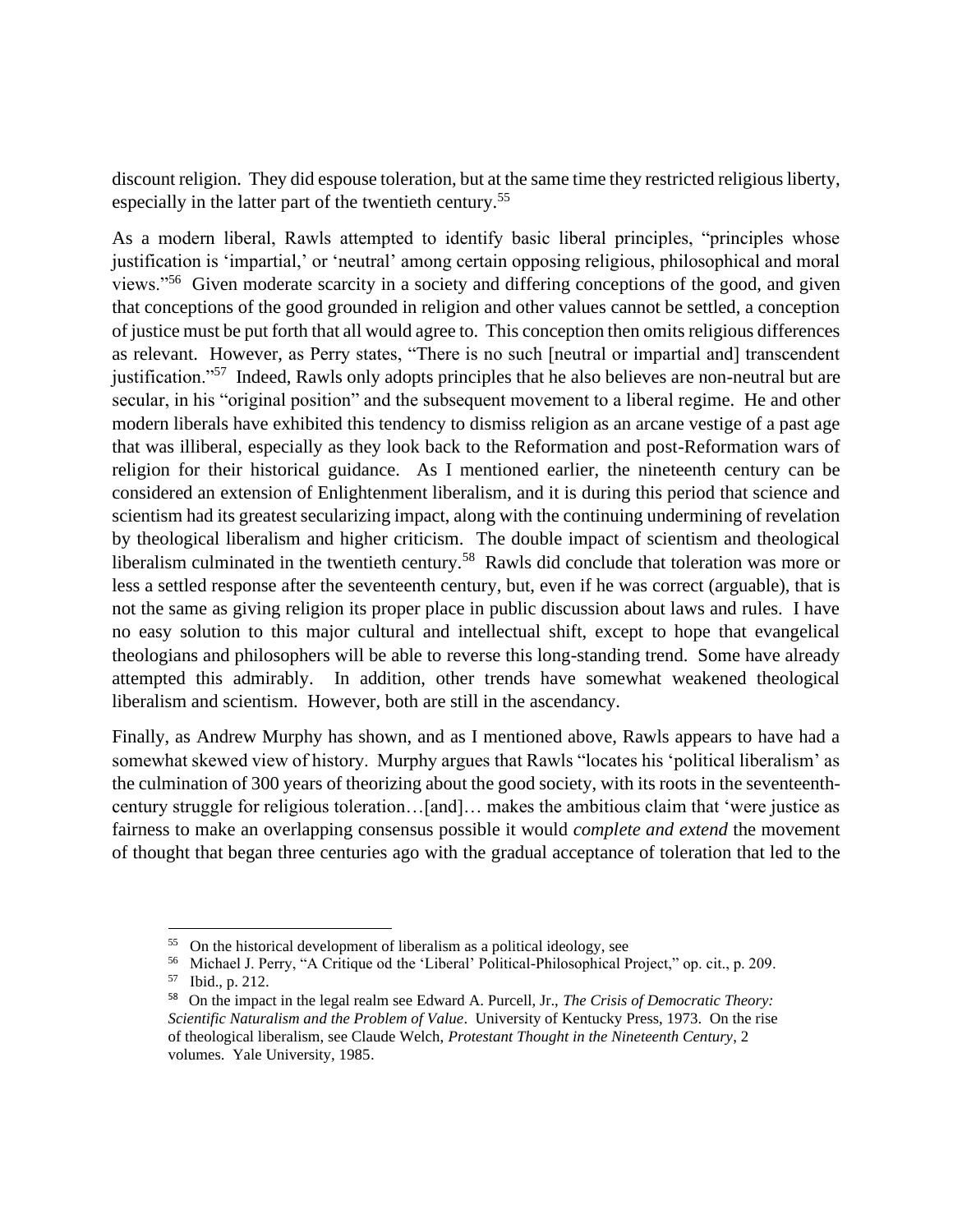discount religion. They did espouse toleration, but at the same time they restricted religious liberty, especially in the latter part of the twentieth century.<sup>55</sup>

As a modern liberal, Rawls attempted to identify basic liberal principles, "principles whose justification is 'impartial,' or 'neutral' among certain opposing religious, philosophical and moral views."<sup>56</sup> Given moderate scarcity in a society and differing conceptions of the good, and given that conceptions of the good grounded in religion and other values cannot be settled, a conception of justice must be put forth that all would agree to. This conception then omits religious differences as relevant. However, as Perry states, "There is no such [neutral or impartial and] transcendent justification."<sup>57</sup> Indeed, Rawls only adopts principles that he also believes are non-neutral but are secular, in his "original position" and the subsequent movement to a liberal regime. He and other modern liberals have exhibited this tendency to dismiss religion as an arcane vestige of a past age that was illiberal, especially as they look back to the Reformation and post-Reformation wars of religion for their historical guidance. As I mentioned earlier, the nineteenth century can be considered an extension of Enlightenment liberalism, and it is during this period that science and scientism had its greatest secularizing impact, along with the continuing undermining of revelation by theological liberalism and higher criticism. The double impact of scientism and theological liberalism culminated in the twentieth century.<sup>58</sup> Rawls did conclude that toleration was more or less a settled response after the seventeenth century, but, even if he was correct (arguable), that is not the same as giving religion its proper place in public discussion about laws and rules. I have no easy solution to this major cultural and intellectual shift, except to hope that evangelical theologians and philosophers will be able to reverse this long-standing trend. Some have already attempted this admirably. In addition, other trends have somewhat weakened theological liberalism and scientism. However, both are still in the ascendancy.

Finally, as Andrew Murphy has shown, and as I mentioned above, Rawls appears to have had a somewhat skewed view of history. Murphy argues that Rawls "locates his 'political liberalism' as the culmination of 300 years of theorizing about the good society, with its roots in the seventeenthcentury struggle for religious toleration…[and]… makes the ambitious claim that 'were justice as fairness to make an overlapping consensus possible it would *complete and extend* the movement of thought that began three centuries ago with the gradual acceptance of toleration that led to the

<sup>&</sup>lt;sup>55</sup> On the historical development of liberalism as a political ideology, see

<sup>56</sup> Michael J. Perry, "A Critique od the 'Liberal' Political-Philosophical Project," op. cit., p. 209. 57

Ibid., p. 212.

<sup>58</sup> On the impact in the legal realm see Edward A. Purcell, Jr., *The Crisis of Democratic Theory: Scientific Naturalism and the Problem of Value*. University of Kentucky Press, 1973. On the rise of theological liberalism, see Claude Welch, *Protestant Thought in the Nineteenth Century*, 2 volumes. Yale University, 1985.